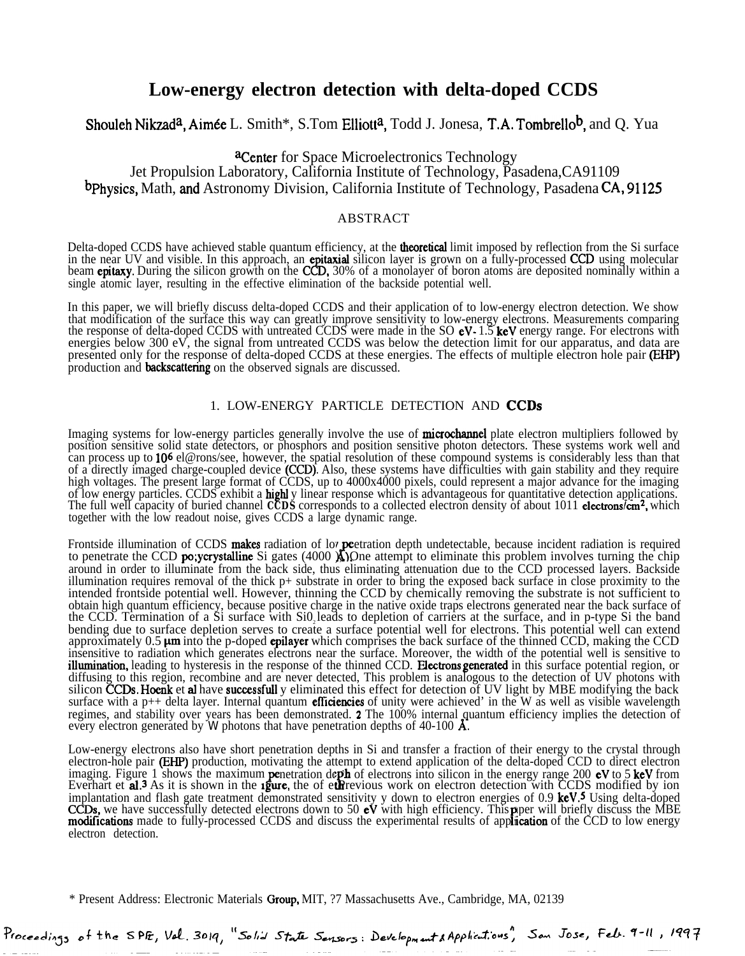# **Low-energy electron detection with delta-doped CCDS**

# Shouleh Nikzad<sup>a</sup>, Aimée L. Smith\*, S.Tom Elliott<sup>a</sup>, Todd J. Jonesa, T.A. Tombrello<sup>b</sup>, and Q. Yua

# **aCenter** for Space Microelectronics Technology Jet Propulsion Laboratory, California Institute of Technology, Pasadena,CA91109 b Physics, Math, and Astronomy Division, California Institute of Technology, Pasadena CA, 91125

# ABSTRACT

Delta-doped CCDS have achieved stable quantum efficiency, at the **theoretical** limit imposed by reflection from the Si surface in the near UV and visible. In this approach, an **epitaxial** silicon layer is grown on a fully-processed CCD using molecular beam **epitaxy**. During the silicon growth on the CCD, 30% of a monolayer of boron atoms are deposited nominally within a single atomic layer, resulting in the effective elimination of the backside potential well.

In this paper, we will briefly discuss delta-doped CCDS and their application of to low-energy electron detection. We show that modification of the surface this way can greatly improve sensitivity to low-energy electrons. Measurements comparing the response of delta-doped CCDS with untreated CCDS were made in the SO  $eV-1.5$  keV energy range. For electrons with energies below 300 eV, the signal from untreated CCDS was below the detection limit for our apparatus, and data are presented only for the response of delta-doped CCDS at these energies. The effects of multiple electron hole pair (EHP) production and backscattering on the observed signals are discussed.

# 1. LOW-ENERGY PARTICLE DETECTION AND CCDS

Imaging systems for low-energy particles generally involve the use of **microchannel** plate electron multipliers followed by position sensitive solid state detectors, or phosphors and position sensitive photon detectors. These systems work well and can process up to 106 el@rons/see, however, the spatial resolution of these compound systems is considerably less than that of a directly imaged charge-coupled device (CCD). Also, these systems have difficulties with gain stability and they require high voltages. The present large format of CCDS, up to 4000x4000 pixels, could represent a major advance for the imaging of low energy particles. CCDS exhibit a **highl** y linear response which is advantageous for quantitative detection applications. The full well capacity of buried channel **CCDS** corresponds to a collected electron density of about 1011 **electrons/cm<sup>2</sup>**, which together with the low readout noise, gives CCDS a large dynamic range.

Frontside illumination of CCDS makes radiation of lov peetration depth undetectable, because incident radiation is required Trontside illumination of CCDS **makes** radiation of lov **pe**etration depth undetectable, because incident radiation is required to penetrate the CCD **po;ycrystalline** Si gates (4000 **A)**. One attempt to eliminate this prob around in order to illuminate from the back side, thus eliminating attenuation due to the CCD processed layers. Backside illumination requires removal of the thick p+ substrate in order to bring the exposed back surface in close proximity to the intended frontside potential well. However, thinning the CCD by chemically removing the substrate is not sufficient to obtain high quantum efficiency, because positive charge in the native oxide traps electrons generated near the back surface of the CCD. Termination of a Si surface with Si0 leads to depletion of carriers at the surface, and in p-type Si the band bending due to surface depletion serves to create a surface potential well for electrons. This potential well can extend approximately  $0.5 \mu m$  into the p-doped epilayer which comprises the back surface of the thinned CCD, making the CCD insensitive to radiation which generates electrons near the surface. Moreover, the width of the potential well is sensitive to illumination, leading to hysteresis in the response of the thinned CCD. Electrons generated in this surface potential region, or diffusing to this region, recombine and are never detected, This problem is analogous to the detection of UV photons with silicon CCDs. Hoenk et al have successfull y eliminated this effect for detection of UV light by MBE modifying the back surface with a  $p++$  delta layer. Internal quantum **efficiencies** of unity were achieved' in the W as well as visible wavelength regimes, and stability over years has been demonstrated. 2 The 100% internal quantum efficiency implies the detection of every electron generated by *W* photons that have penetration depths of 40-100  $\AA$ .

Low-energy electrons also have short penetration depths in Si and transfer a fraction of their energy to the crystal through electron-hole pair **(EHP)** production, motivating the attempt to extend application of the delta-doped CCD to direct electron imaging. Figure 1 shows the maximum **penetration depth of electrons** into silicon in the energy range 200 **eV** to 5 keV from<br>Everhart et **al**.<sup>3</sup> As it is shown in the **igure**, the of etherevious work on electron detection Everhart et al.<sup>3</sup> As it is shown in the *igure*, the of euric work on electron detection with CCDS modified by ion implantation and flash gate treatment demonstrated sensitivity y down to electron energies of 0.9 keV.<sup>5</sup> Using delta-doped CCDs, we have successfully detected electrons down to 50 eV with high efficiency. This paper will briefly discuss the MBE modifications made to fully-processed CCDS and discuss the experimental results of application of the CCD to low energy electron detection.

\* Present Address: Electronic Materials Oroup, MIT, ?7 Massachusetts Ave., Cambridge, MA, 02139

Proceedings of the SPE, Val. 3019, "Solid State Sensors: Development & Applications", Son Jose, Feb. 9-11, 1997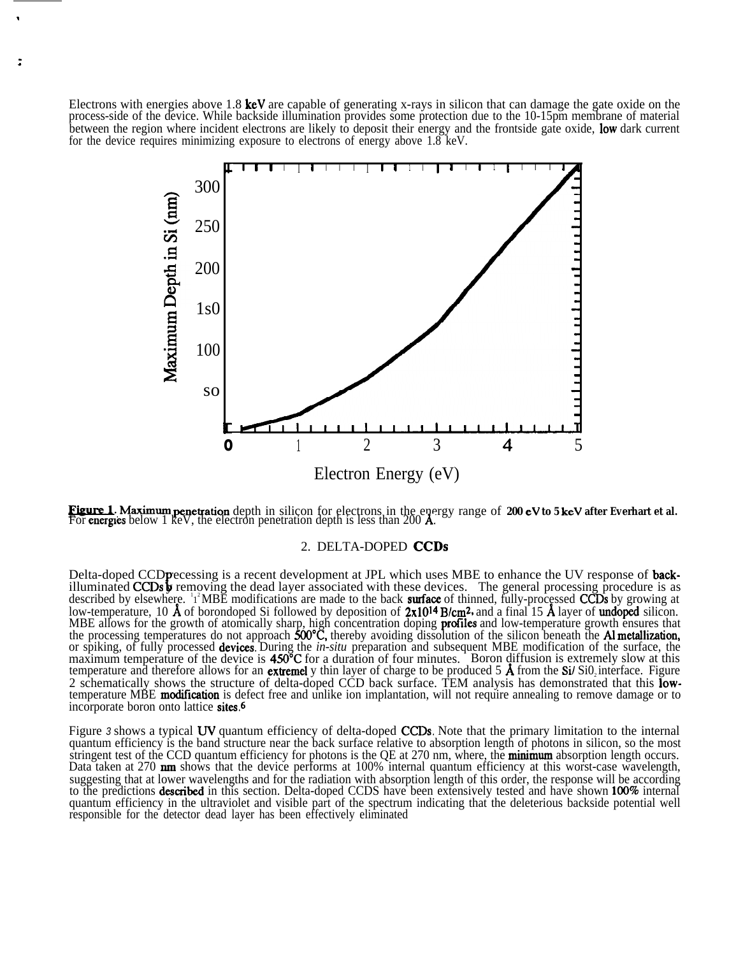Electrons with energies above 1.8 keV are capable of generating x-rays in silicon that can damage the gate oxide on the process-side of the device. While backside illumination provides some protection due to the 10-15pm membrane of material between the region where incident electrons are likely to deposit their energy and the frontside gate oxide, low dark current for the device requires minimizing exposure to electrons of energy above 1.8 keV.



Electron Energy (eV)<br>**Figure 1**. Maximum penetration depth in silicon for electrons in the energy range of **200 eV to 5 keV after Everhart et al.**<br>For energies below 1 keV, the electron penetration depth is less than 200 A

## 2. DELTA-DOPED CCDS

Delta-doped CCD precessing is a recent development at JPL which uses MBE to enhance the UV response of **back-**illuminated CCDs **y** removing the dead layer associated with these devices. The general processing procedure is described by elsewhere. <sup>1</sup><sup>2</sup>MBE modifications are made to the back **surface** of thinned, fully-processed CCDs by growing at low-temperature, 10  $\AA$  of borondoped Si followed by deposition of  $2x10^{14}$  B/cm<sup>2</sup>, and a final 15  $\AA$  layer of undoped silicon. MBE allows for the growth of atomically sharp, high concentration doping **profiles** and low-temperature growth ensures that the processing temperatures do not approach 500°C, thereby avoiding dissolution of the silicon beneath the Al metallization, or spiking, of fully processed **devices**. During the *in-situ* preparation and subsequent MBE modification of the surface, the maximum temperature of the device is 450°C for a duration of four minutes. Boron diffusion is extremely slow at this temperature and therefore allows for an **extremel** y thin layer of charge to be produced 5  $\vec{A}$  from the Si/ Si0<sub>2</sub> interface. Figure 2 schematically shows the structure of delta-doped CCD back surface. TEM analysis has demonstrated that this lowtemperature MBE **modification** is defect free and unlike ion implantation, will not require annealing to remove damage or to incorporate boron onto lattice sites.6

Figure 3 shows a typical UV quantum efficiency of delta-doped CCDs. Note that the primary limitation to the internal quantum efficiency is the band structure near the back surface relative to absorption length of photons in silicon, so the most stringent test of the CCD quantum efficiency for photons is the QE at 270 nm, where, the **minimum** absorption length occurs. Data taken at 270 **nm** shows that the device performs at 100% internal quantum efficiency at this worst-case wavelength, suggesting that at lower wavelengths and for the radiation with absorption length of this order, the response will be according to the predictions described in this section. Delta-doped CCDS have been extensively tested and have shown 100% internal quantum efficiency in the ultraviolet and visible part of the spectrum indicating that the deleterious backside potential well responsible for the detector dead layer has been effectively eliminated

,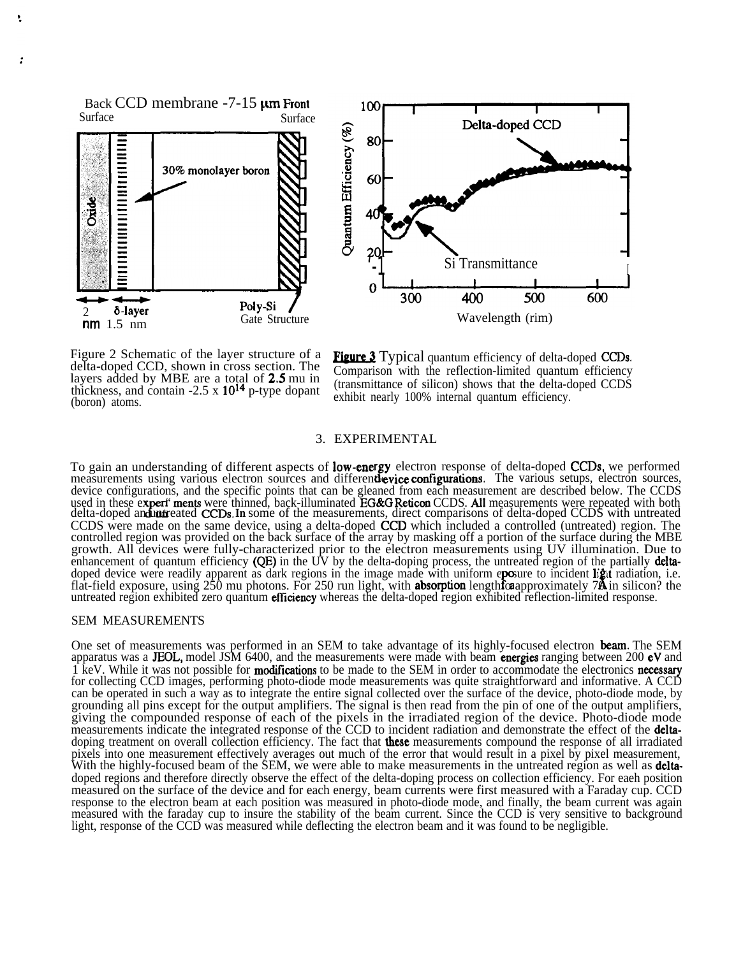Back CCD membrane -7-15  $\mu$ m Front<br>Surface Surface

Î.





Figure 2 Schematic of the layer structure of a delta-doped CCD, shown in cross section. The layers added by MBE are a total of 2,5 mu in thickness, and contain  $-2.5 \times 10^{14}$  p-type dopant (boron) atoms.

(transmittance of silicon) shows that the delta-doped CCDS exhibit nearly 100% internal quantum efficiency.

## 3. EXPERIMENTAL

To gain an understanding of different aspects of **low-energy** electron response of delta-doped CCDs, we performed To gain an understanding of different aspects of **low-energy** electron response of delta-doped **CCDs**, we performed<br>measurements using various electron sources and different evice configurations. The various setups, electr device configurations, and the specific points that can be gleaned from each measurement are described below. The CCDS used in these  $ex$ ders<br>usin<br>ration<br>**refidunt**<br>ade " ments were thinned, back-illuminated EG&G Reticon CCDS. All measurements were repeated with both delta-doped and untreated **CCDs**. In some of the measurements, direct comparisons of delta-doped CCDS with untreated CCDS were made on the same device, using a delta-doped CCD which included a controlled (untreated) region. The controlled region was provided on the back surface of the array by masking off a portion of the surface during the MBE growth. All devices were fully-characterized prior to the electron measurements using UV illumination. Due to enhancement of quantum efficiency  $(QE)$  in the UV by the delta-doping process, the untreated region of the partially **delta**doped device were readily apparent as dark regions in the image made with uniform e**po**sure to incident **lig**tt radiation, i.e.<br>flat-field exposure, using 250 mu photons. For 250 run light, with **absorption** length caappro untreated region exhibited zero quantum efficiency whereas the delta-doped region exhibited reflection-limited response.

#### SEM MEASUREMENTS

One set of measurements was performed in an SEM to take advantage of its highly-focused electron beam. The SEM apparatus was a JEOL, model JSM 6400, and the measurements were made with beam **energies** ranging between 200  $eV$  and  $\hat{1}$  keV. While it was not possible for **modifications** to be made to the SEM in order to accommodate the electronics **necessary** for collecting CCD images, performing photo-diode mode measurements was quite straightforward and informative. A CCD can be operated in such a way as to integrate the entire signal collected over the surface of the device, photo-diode mode, by grounding all pins except for the output amplifiers. The signal is then read from the pin of one of the output amplifiers, giving the compounded response of each of the pixels in the irradiated region of the device. Photo-diode mode measurements indicate the integrated response of the CCD to incident radiation and demonstrate the effect of the **delta**doping treatment on overall collection efficiency. The fact that **these** measurements compound the response of all irradiated pixels into one measurement effectively averages out much of the error that would result in a pixel by pixel measurement, With the highly-focused beam of the SEM, we were able to make measurements in the untreated region as well as deltadoped regions and therefore directly observe the effect of the delta-doping process on collection efficiency. For eaeh position measured on the surface of the device and for each energy, beam currents were first measured with a Faraday cup. CCD response to the electron beam at each position was measured in photo-diode mode, and finally, the beam current was again measured with the faraday cup to insure the stability of the beam current. Since the CCD is very sensitive to background light, response of the CCD was measured while deflecting the electron beam and it was found to be negligible.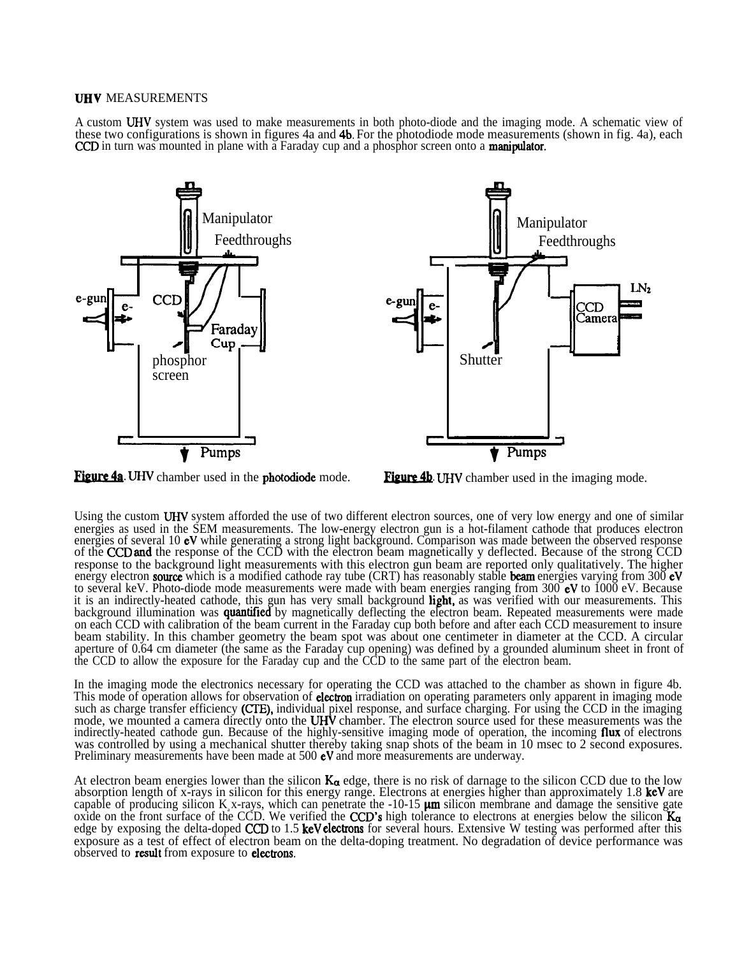#### **UHV MEASUREMENTS**

A custom UHV system was used to make measurements in both photo-diode and the imaging mode. A schematic view of these two configurations is shown in figures 4a and 4b. For the photodiode mode measurements (shown in fig. 4a), each CCD in turn was mounted in plane with a Faraday cup and a phosphor screen onto a **manipulator**.



Using the custom UHV system afforded the use of two different electron sources, one of very low energy and one of similar energies as used in the SEM measurements. The low-energy electron gun is a hot-filament cathode that produces electron energies of several 10  $eV$  while generating a strong light background. Comparison was made between the observed response of the CCD and the response of the CCD with the electron beam magnetically y deflected. Because of the strong CCD response to the background light measurements with this electron gun beam are reported only qualitatively. The higher energy electron **source** which is a modified cathode ray tube (CRT) has reasonably stable **beam** energies varying from 300  $eV$ to several keV. Photo-diode mode measurements were made with beam energies ranging from  $300$  eV to  $1000$  eV. Because it is an indirectly-heated cathode, this gun has very small background light, as was verified with our measurements. This background illumination was **quantified** by magnetically deflecting the electron beam. Repeated measurements were made on each CCD with calibration of the beam current in the Faraday cup both before and after each CCD measurement to insure beam stability. In this chamber geometry the beam spot was about one centimeter in diameter at the CCD. A circular aperture of 0.64 cm diameter (the same as the Faraday cup opening) was defined by a grounded aluminum sheet in front of the CCD to allow the exposure for the Faraday cup and the CCD to the same part of the electron beam.

In the imaging mode the electronics necessary for operating the CCD was attached to the chamber as shown in figure 4b. This mode of operation allows for observation of **electron** irradiation on operating parameters only apparent in imaging mode such as charge transfer efficiency (CTE), individual pixel response, and surface charging. For using the CCD in the imaging mode, we mounted a camera directly onto the UHV chamber. The electron source used for these measurements was the indirectly-heated cathode gun. Because of the highly-sensitive imaging mode of operation, the incoming flux of electrons was controlled by using a mechanical shutter thereby taking snap shots of the beam in 10 msec to 2 second exposures. Preliminary measurements have been made at 500 eV and more measurements are underway.

At electron beam energies lower than the silicon  $K_{\alpha}$  edge, there is no risk of darnage to the silicon CCD due to the low absorption length of x-rays in silicon for this energy range. Electrons at energies higher than approximately 1.8 keV are capable of producing silicon  $K$ <sub>a</sub> x-rays, which can penetrate the -10-15  $\mu$ m silicon membrane and damage the sensitive gate oxide on the front surface of the CCD. We verified the CCD's high tolerance to electrons at energies below the silicon  $K_{\alpha}$ edge by exposing the delta-doped CCD to 1.5 keV electrons for several hours. Extensive W testing was performed after this exposure as a test of effect of electron beam on the delta-doping treatment. No degradation of device performance was observed to result from exposure to eleetrons.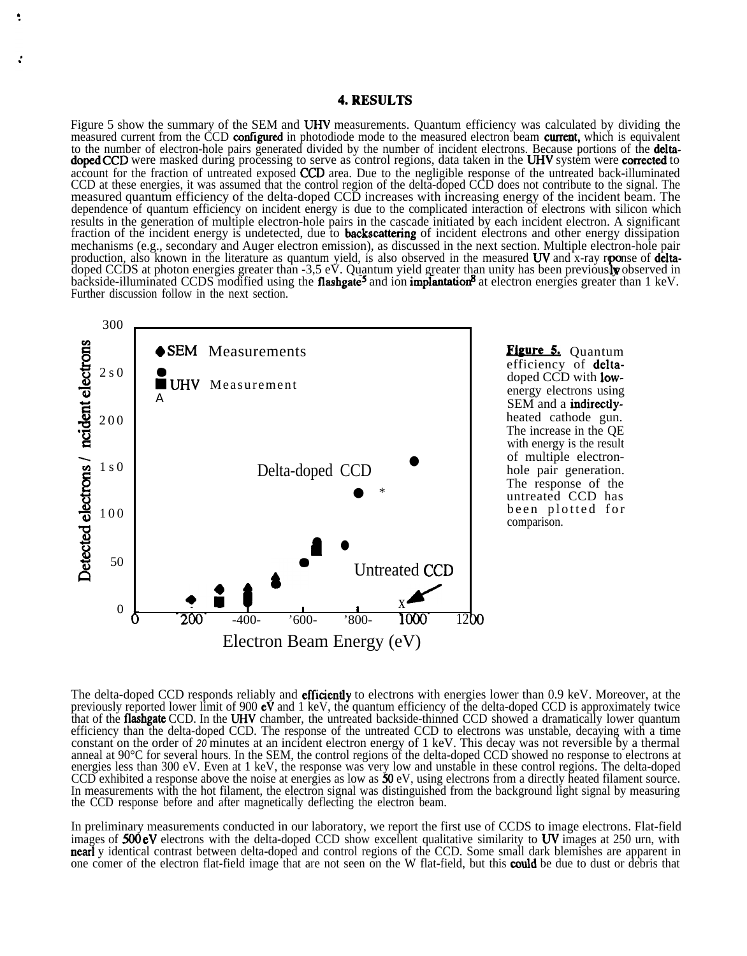## 4.RESULTS

Figure 5 show the summary of the SEM and UHV measurements. Quantum efficiency was calculated by dividing the measured current from the CCD configured in photodiode mode to the measured electron beam current, which is equivalent to the number of electron-hole pairs generated divided by the number of incident electrons. Because portions of the **delta**doped CCD were masked during processing to serve as control regions, data taken in the UHV system were corrected to account for the fraction of untreated exposed CCD area. Due to the negligible response of the untreated back-illuminated CCD at these energies, it was assumed that the control region of the delta-doped CCD does not contribute to the signal. The measured quantum efficiency of the delta-doped CCD increases with increasing energy of the incident beam. The dependence of quantum efficiency on incident energy is due to the complicated interaction of electrons with silicon which results in the generation of multiple electron-hole pairs in the cascade initiated by each incident electron. A significant fraction of the incident energy is undetected, due to **backscattering** of incident electrons and other energy dissipation mechanisms (e.g., secondary and Auger electron emission), as discussed in the next section. Multiple electron-hole pair mechanisms (e.g., secondary and Auger electron emission), as discussed in the hext section. Multiple electron-hole part<br>production, also known in the literature as quantum yield, is also observed in the measured UV and xbackside-illuminated CCDS modified using the flashgate<sup>5</sup> and ion implantation<sup>8</sup> at electron energies greater than  $1 \text{ keV}$ . Further discussion follow in the next section.



۹

doped CCD with low energy electrons using SEM and a **indirectly**-The increase in the QE with energy is the result of multiple electron-<br>hole pair generation. The response of the untreated CCD has been plotted for comparison.

The delta-doped CCD responds reliably and **efficiently** to electrons with energies lower than 0.9 keV. Moreover, at the previously reported lower limit of 900  $eV$  and 1 keV, the quantum efficiency of the delta-doped CCD is approximately twice that of the **flashgate** CCD. In the UHV chamber, the untreated backside-thinned CCD showed a dramatically lower quantum efficiency than the delta-doped CCD. The response of the untreated CCD to electrons was unstable, decaying with a time constant on the order of *20* minutes at an incident electron energy of 1 keV. This decay was not reversible by a thermal anneal at 90°C for several hours. In the SEM, the control regions of the delta-doped CCD showed no response to electrons at energies less than 300 eV. Even at 1 keV, the response was very low and unstable in these control regions. The delta-doped CCD exhibited a response above the noise at energies as low as  $50 \text{ eV}$ , using electrons from a directly heated filament source. In measurements with the hot filament, the electron signal was distinguished from the background light signal by measuring the CCD response before and after magnetically deflecting the electron beam.

In preliminary measurements conducted in our laboratory, we report the first use of CCDS to image electrons. Flat-field images of 500 eV electrons with the delta-doped CCD show excellent qualitative similarity to UV images at 250 urn, with nearly identical contrast between delta-doped and control regions of the CCD. Some small dark blemishes are apparent in one comer of the electron flat-field image that are not seen on the W flat-field, but this **could** be due to dust or debris that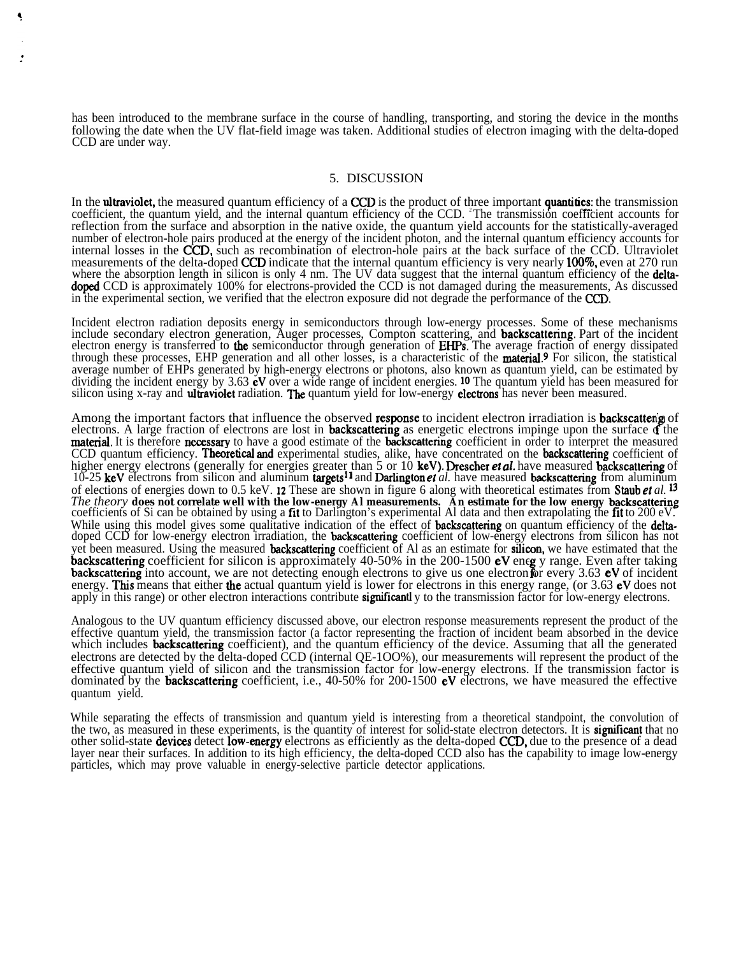has been introduced to the membrane surface in the course of handling, transporting, and storing the device in the months following the date when the UV flat-field image was taken. Additional studies of electron imaging with the delta-doped CCD are under way.

## 5. DISCUSSION

In the ultraviolet, the measured quantum efficiency of a CCD is the product of three important quantities: the transmission coefficient, the quantum yield, and the internal quantum efficiency of the CCD. <sup>2</sup>The transmission coefficient accounts for reflection from the surface and absorption in the native oxide, the quantum yield accounts for the statistically-averaged number of electron-hole pairs produced at the energy of the incident photon, and the internal quantum efficiency accounts for internal losses in the CCD, such as recombination of electron-hole pairs at the back surface of the CCD. Ultraviolet measurements of the delta-doped CCD indicate that the internal quantum efficiency is very nearly 100%, even at 270 run where the absorption length in silicon is only 4 nm. The UV data suggest that the internal quantum efficiency of the deltadoped CCD is approximately 100% for electrons-provided the CCD is not damaged during the measurements, As discussed in the experimental section, we verified that the electron exposure did not degrade the performance of the CCD.

Incident electron radiation deposits energy in semiconductors through low-energy processes. Some of these mechanisms include secondary electron generation, Auger processes, Compton scattering, and backscattering. Part of the incident electron energy is transferred to **the** semiconductor through generation of **EHPs**. The average fraction of energy dissipated through these processes, EHP generation and all other losses, is a characteristic of the material.<sup>9</sup> For silicon, the statistical average number of EHPs generated by high-energy electrons or photons, also known as quantum yield, can be estimated by dividing the incident energy by 3.63 **eV** over a wide range of incident energies. <sup>10</sup> The quantum yield has been measured for silicon using x-ray and **ultraviolet** radiation. **The** quantum yield for low-energy **electrons** has never been measured.

Among the important factors that influence the observed response to incident electron irradiation is backscatterig of electrons. A large fraction of electrons are lost in **backscattering** as energetic electrons impinge upon the surface of the material. It is therefore necessary to have a good estimate of the **backscattering** coefficient in order to interpret the measured CCD quantum efficiency. Theoretical and experimental studies, alike, have concentrated on the backscattering coefficient of higher energy electrons (generally for energies greater than 5 or 10 keV). Drescher *et al.* have measured backscattering of 10-25 keV electrons from silicon and aluminum targets<sup>11</sup> and Darlington *et al.* have measured backscattering from aluminum of elections of energies down to 0.5 keV. 12 These are shown in figure 6 along with theoretical estimates from Staub et *al. 13 The theory* **does not correlate well with the low-energy Al measurements. An estimate for the low energy backscattering** coefficients of Si can be obtained by using a fit to Darlington's experimental Al data and then extrapolating the fit to 200 eV. While using this model gives some qualitative indication of the effect of **backscattering** on quantum efficiency of the **delta**doped CCD for low-energy electron irradiation, the **backscattering** coefficient of low-energy electrons from silicon has not yet been measured. Using the measured backscattering coefficient of Al as an estimate for silicon, we have estimated that the backscattering coefficient for silicon is approximately 40-50% in the 200-1500 eV eneg y range. Even after taking **backscattering** into account, we are not detecting enough electrons to give us one electron for every 3.63 eV of incident energy. This means that either the actual quantum yield is lower for electrons in this energy range, (or 3.63 eV does not apply in this range) or other electron interactions contribute **significantl** y to the transmission factor for low-energy electrons.

Analogous to the UV quantum efficiency discussed above, our electron response measurements represent the product of the effective quantum yield, the transmission factor (a factor representing the fraction of incident beam absorbed in the device which includes **backscattering** coefficient), and the quantum efficiency of the device. Assuming that all the generated electrons are detected by the delta-doped CCD (internal QE-1OO%), our measurements will represent the product of the effective quantum yield of silicon and the transmission factor for low-energy electrons. If the transmission factor is dominated by the **backscattering** coefficient, i.e., 40-50% for 200-1500 **eV** electrons, we have measured the effective quantum yield.

While separating the effects of transmission and quantum yield is interesting from a theoretical standpoint, the convolution of the two, as measured in these experiments, is the quantity of interest for solid-state electron detectors. It is **significant** that no other solid-state devices detect low-energy electrons as efficiently as the delta-doped CCD, due to the presence of a dead layer near their surfaces. In addition to its high efficiency, the delta-doped CCD also has the capability to image low-energy particles, which may prove valuable in energy-selective particle detector applications.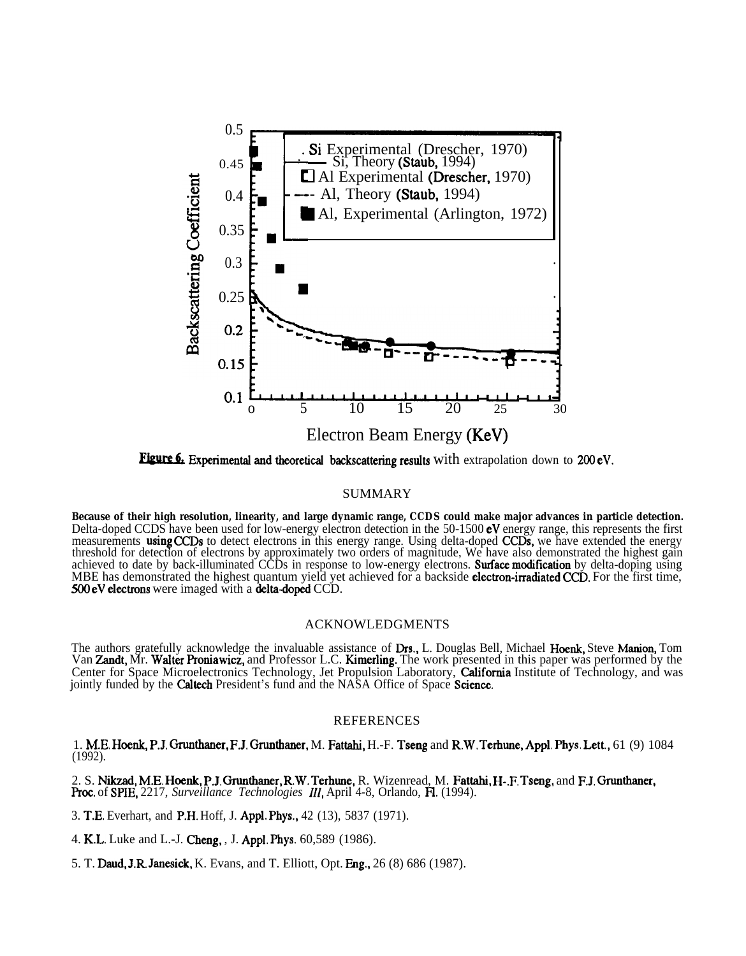

Figure 6. Experimental and theoretical backscattering results with extrapolation down to 200 eV.

## SUMMARY

**Because of their high resolution, linearity, and large dynamic range, CCDS could make major advances in particle detection.** Delta-doped CCDS have been used for low-energy electron detection in the 50-1500  $eV$  energy range, this represents the first measurements **using CCDs** to detect electrons in this energy range. Using delta-doped **CCDs**, we have extended the energy threshold for detection of electrons by approximately two orders of magnitude, We have also demonstrated the highest gain achieved to date by back-illuminated CCDs in response to low-energy electrons. **Surface modification** by delta-doping using MBE has demonstrated the highest quantum yield yet achieved for a backside **electron-irradiated CCD**. For the first time, 500 eV electrons were imaged with a delta-doped CCD.

#### ACKNOWLEDGMENTS

The authors gratefully acknowledge the invaluable assistance of Drs., L. Douglas Bell, Michael Hoenk, Steve Manion, Tom Van Zandt, Mr. Walter Proniawicz, and Professor L.C. Kimerling. The work presented in this paper was performed by the Center for Space Microelectronics Technology, Jet Propulsion Laboratory, California Institute of Technology, and was jointly funded by the **Caltech** President's fund and the NASA Office of Space Science.

## REFERENCES

1. M.E. Hoenk, P.J. Grunthaner, F.J. Grunthaner, M. Fattahi, H.-F. Tseng and R.W. Terhune, Appl. Phys. Lett., 61 (9) 1084 (1992).

2. S. Nikzad, M.E. Hoenk, P.J. Oruntbauer, R.W. Terhune, R. Wizenread, M. Fattahi, H-.F. Tseng, and F.J. Grunthaner, Proc. of SPIE, 2217, *Surveillance Technologies 111,* April 4-8, Orlando, H. (1994).

3. T.E. Everhart, and P.H. Hoff, J. Appl. Phys., 42 (13), 5837 (1971).

4. K.L. Luke and L.-J. Cheng, , J. Appl. Phys. 60,589 (1986).

5. T. Daud, J.R. Janeaick, K. Evans, and T. Elliott, Opt. Eng., 26 (8) 686 (1987).